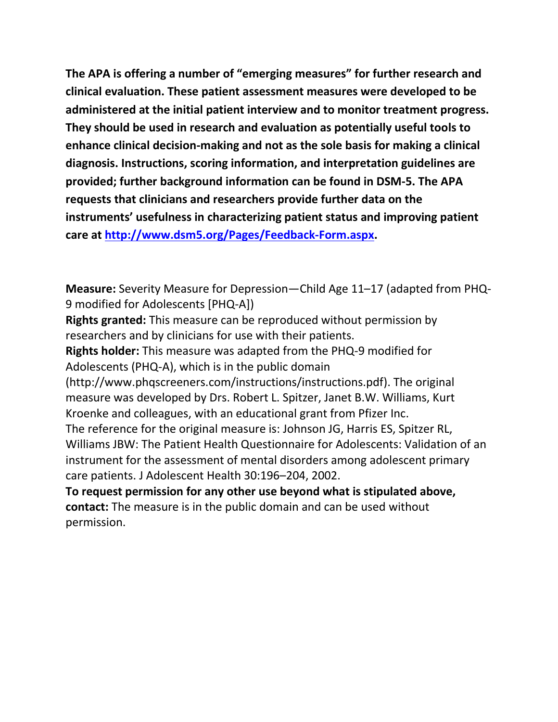**The APA is offering a number of "emerging measures" for further research and clinical evaluation. These patient assessment measures were developed to be administered at the initial patient interview and to monitor treatment progress. They should be used in research and evaluation as potentially useful tools to enhance clinical decision-making and not as the sole basis for making a clinical diagnosis. Instructions, scoring information, and interpretation guidelines are provided; further background information can be found in DSM-5. The APA requests that clinicians and researchers provide further data on the instruments' usefulness in characterizing patient status and improving patient care at [http://www.dsm5.org/Pages/Feedback-Form.aspx.](http://www.dsm5.org/Pages/Feedback-Form.aspx)**

**Measure:** Severity Measure for Depression—Child Age 11–17 (adapted from PHQ-9 modified for Adolescents [PHQ-A])

**Rights granted:** This measure can be reproduced without permission by researchers and by clinicians for use with their patients.

**Rights holder:** This measure was adapted from the PHQ-9 modified for Adolescents (PHQ-A), which is in the public domain

(http://www.phqscreeners.com/instructions/instructions.pdf). The original measure was developed by Drs. Robert L. Spitzer, Janet B.W. Williams, Kurt Kroenke and colleagues, with an educational grant from Pfizer Inc.

The reference for the original measure is: Johnson JG, Harris ES, Spitzer RL, Williams JBW: The Patient Health Questionnaire for Adolescents: Validation of an instrument for the assessment of mental disorders among adolescent primary care patients. J Adolescent Health 30:196–204, 2002.

**To request permission for any other use beyond what is stipulated above, contact:** The measure is in the public domain and can be used without permission.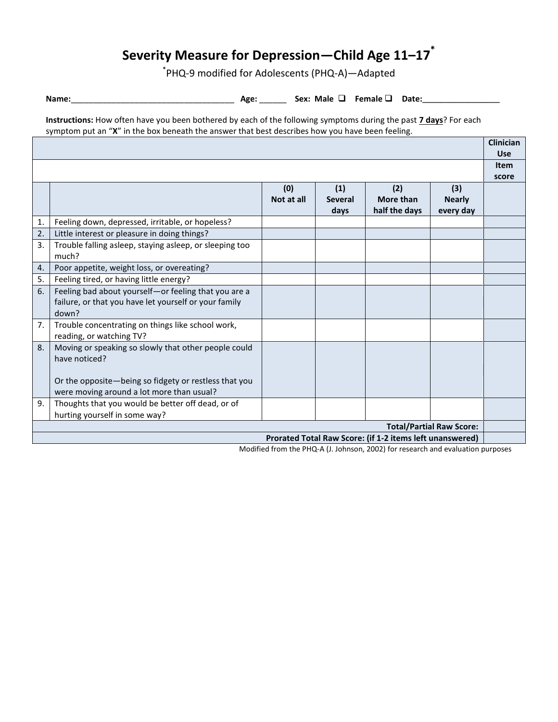# **Severity Measure for Depression—Child Age 11–17\***

\* PHQ-9 modified for Adolescents (PHQ-A)—Adapted

**Name:**\_\_\_\_\_\_\_\_\_\_\_\_\_\_\_\_\_\_\_\_\_\_\_\_\_\_\_\_\_\_\_\_\_\_\_\_ **Age:** \_\_\_\_\_\_ **Sex: Male Female Date:\_\_\_\_\_\_\_\_\_\_\_\_\_\_\_\_\_**

**Instructions:** How often have you been bothered by each of the following symptoms during the past **7 days**? For each symptom put an "**X**" in the box beneath the answer that best describes how you have been feeling.

|                                                          |                                                         |            |                |               | <b>Clinician</b> |             |
|----------------------------------------------------------|---------------------------------------------------------|------------|----------------|---------------|------------------|-------------|
|                                                          |                                                         |            |                |               |                  | <b>Use</b>  |
|                                                          |                                                         |            |                |               |                  | <b>Item</b> |
|                                                          |                                                         |            |                |               |                  | score       |
|                                                          |                                                         | (0)        | (1)            | (2)           | (3)              |             |
|                                                          |                                                         | Not at all | <b>Several</b> | More than     | <b>Nearly</b>    |             |
|                                                          |                                                         |            | days           | half the days | every day        |             |
| 1.                                                       | Feeling down, depressed, irritable, or hopeless?        |            |                |               |                  |             |
| 2.                                                       | Little interest or pleasure in doing things?            |            |                |               |                  |             |
| 3.                                                       | Trouble falling asleep, staying asleep, or sleeping too |            |                |               |                  |             |
|                                                          | much?                                                   |            |                |               |                  |             |
| $\overline{4}$ .                                         | Poor appetite, weight loss, or overeating?              |            |                |               |                  |             |
| 5.                                                       | Feeling tired, or having little energy?                 |            |                |               |                  |             |
| 6.                                                       | Feeling bad about yourself-or feeling that you are a    |            |                |               |                  |             |
|                                                          | failure, or that you have let yourself or your family   |            |                |               |                  |             |
|                                                          | down?                                                   |            |                |               |                  |             |
| 7.                                                       | Trouble concentrating on things like school work,       |            |                |               |                  |             |
|                                                          | reading, or watching TV?                                |            |                |               |                  |             |
| 8.                                                       | Moving or speaking so slowly that other people could    |            |                |               |                  |             |
|                                                          | have noticed?                                           |            |                |               |                  |             |
|                                                          |                                                         |            |                |               |                  |             |
|                                                          | Or the opposite-being so fidgety or restless that you   |            |                |               |                  |             |
|                                                          | were moving around a lot more than usual?               |            |                |               |                  |             |
| 9.                                                       | Thoughts that you would be better off dead, or of       |            |                |               |                  |             |
|                                                          | hurting yourself in some way?                           |            |                |               |                  |             |
| <b>Total/Partial Raw Score:</b>                          |                                                         |            |                |               |                  |             |
| Prorated Total Raw Score: (if 1-2 items left unanswered) |                                                         |            |                |               |                  |             |

Modified from the PHQ-A (J. Johnson, 2002) for research and evaluation purposes